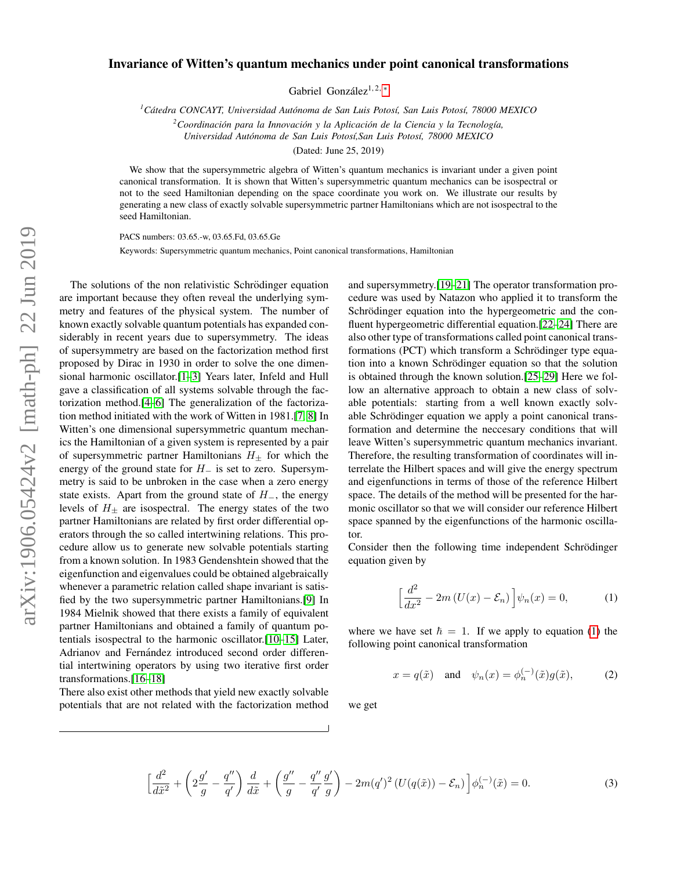## Invariance of Witten's quantum mechanics under point canonical transformations

Gabriel González<sup>1, 2, \*</sup>

*<sup>1</sup>Catedra CONCAYT, Universidad Aut ´ onoma de San Luis Potos ´ ´ı, San Luis Potos´ı, 78000 MEXICO*

*<sup>2</sup>Coordinacion para la Innovaci ´ on y la Aplicaci ´ on de la Ciencia y la Tecnolog ´ ´ıa,*

*Universidad Autonoma de San Luis Potos ´ ´ı,San Luis Potos´ı, 78000 MEXICO*

(Dated: June 25, 2019)

We show that the supersymmetric algebra of Witten's quantum mechanics is invariant under a given point canonical transformation. It is shown that Witten's supersymmetric quantum mechanics can be isospectral or not to the seed Hamiltonian depending on the space coordinate you work on. We illustrate our results by generating a new class of exactly solvable supersymmetric partner Hamiltonians which are not isospectral to the seed Hamiltonian.

PACS numbers: 03.65.-w, 03.65.Fd, 03.65.Ge

Keywords: Supersymmetric quantum mechanics, Point canonical transformations, Hamiltonian

The solutions of the non relativistic Schrödinger equation are important because they often reveal the underlying symmetry and features of the physical system. The number of known exactly solvable quantum potentials has expanded considerably in recent years due to supersymmetry. The ideas of supersymmetry are based on the factorization method first proposed by Dirac in 1930 in order to solve the one dimensional harmonic oscillator.[\[1–](#page-4-1)[3\]](#page-4-2) Years later, Infeld and Hull gave a classification of all systems solvable through the factorization method.[\[4–](#page-4-3)[6\]](#page-4-4) The generalization of the factorization method initiated with the work of Witten in 1981.[\[7,](#page-4-5) [8\]](#page-4-6) In Witten's one dimensional supersymmetric quantum mechanics the Hamiltonian of a given system is represented by a pair of supersymmetric partner Hamiltonians  $H_{\pm}$  for which the energy of the ground state for  $H_$  is set to zero. Supersymmetry is said to be unbroken in the case when a zero energy state exists. Apart from the ground state of  $H_$ , the energy levels of  $H_{\pm}$  are isospectral. The energy states of the two partner Hamiltonians are related by first order differential operators through the so called intertwining relations. This procedure allow us to generate new solvable potentials starting from a known solution. In 1983 Gendenshtein showed that the eigenfunction and eigenvalues could be obtained algebraically whenever a parametric relation called shape invariant is satisfied by the two supersymmetric partner Hamiltonians.[\[9\]](#page-4-7) In 1984 Mielnik showed that there exists a family of equivalent partner Hamiltonians and obtained a family of quantum potentials isospectral to the harmonic oscillator.[\[10–](#page-4-8)[15\]](#page-4-9) Later, Adrianov and Fernández introduced second order differential intertwining operators by using two iterative first order transformations.[\[16](#page-4-10)[–18\]](#page-4-11)

There also exist other methods that yield new exactly solvable potentials that are not related with the factorization method

and supersymmetry.[\[19](#page-4-12)[–21\]](#page-4-13) The operator transformation procedure was used by Natazon who applied it to transform the Schrödinger equation into the hypergeometric and the confluent hypergeometric differential equation.[\[22](#page-4-14)[–24\]](#page-4-15) There are also other type of transformations called point canonical transformations (PCT) which transform a Schrödinger type equation into a known Schrödinger equation so that the solution is obtained through the known solution.[\[25–](#page-4-16)[29\]](#page-4-17) Here we follow an alternative approach to obtain a new class of solvable potentials: starting from a well known exactly solvable Schrödinger equation we apply a point canonical transformation and determine the neccesary conditions that will leave Witten's supersymmetric quantum mechanics invariant. Therefore, the resulting transformation of coordinates will interrelate the Hilbert spaces and will give the energy spectrum and eigenfunctions in terms of those of the reference Hilbert space. The details of the method will be presented for the harmonic oscillator so that we will consider our reference Hilbert space spanned by the eigenfunctions of the harmonic oscillator.

Consider then the following time independent Schrödinger equation given by

<span id="page-0-0"></span>
$$
\left[\frac{d^2}{dx^2} - 2m\left(U(x) - \mathcal{E}_n\right)\right]\psi_n(x) = 0,\tag{1}
$$

where we have set  $\hbar = 1$ . If we apply to equation [\(1\)](#page-0-0) the following point canonical transformation

$$
x = q(\tilde{x}) \quad \text{and} \quad \psi_n(x) = \phi_n^{(-)}(\tilde{x})g(\tilde{x}), \tag{2}
$$

we get

<span id="page-0-1"></span>
$$
\left[\frac{d^2}{d\tilde{x}^2} + \left(2\frac{g'}{g} - \frac{q''}{q'}\right)\frac{d}{d\tilde{x}} + \left(\frac{g''}{g} - \frac{q''}{q'}\frac{g'}{g}\right) - 2m(q')^2 \left(U(q(\tilde{x})) - \mathcal{E}_n\right)\right]\phi_n^{(-)}(\tilde{x}) = 0.
$$
\n(3)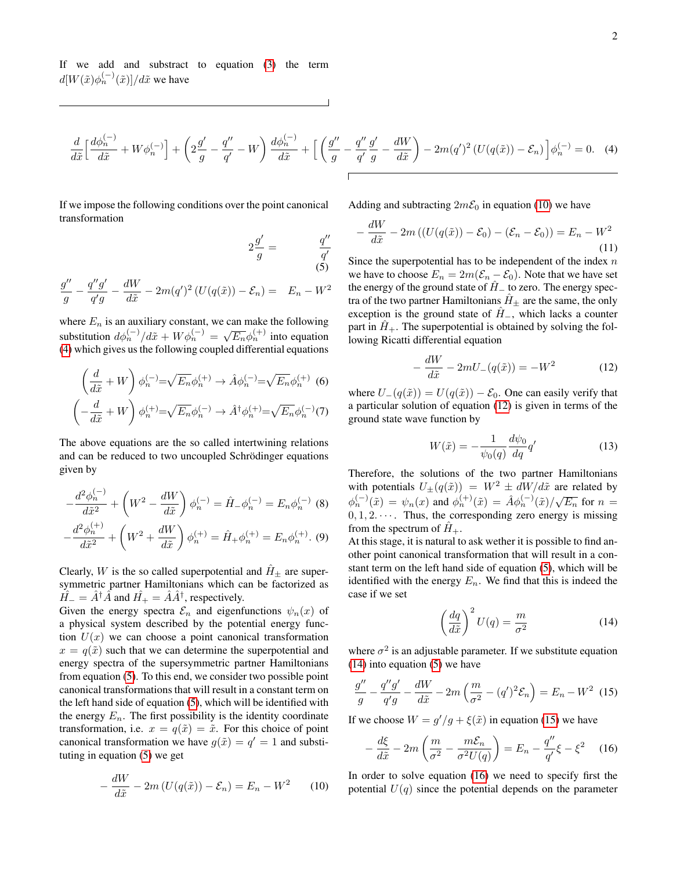If we add and substract to equation [\(3\)](#page-0-1) the term  $d[W(\tilde{x})\phi_n^{(-)}(\tilde{x})]/d\tilde{x}$  we have

<span id="page-1-0"></span>
$$
\frac{d}{d\tilde{x}}\left[\frac{d\phi_n^{(-)}}{d\tilde{x}} + W\phi_n^{(-)}\right] + \left(2\frac{g'}{g} - \frac{q''}{q'} - W\right)\frac{d\phi_n^{(-)}}{d\tilde{x}} + \left[\left(\frac{g''}{g} - \frac{q''}{q'}\frac{g'}{g} - \frac{dW}{d\tilde{x}}\right) - 2m(q')^2\left(U(q(\tilde{x})) - \mathcal{E}_n\right)\right]\phi_n^{(-)} = 0. \quad (4)
$$

If we impose the following conditions over the point canonical

Adding and subtracting  $2m\mathcal{E}_0$  in equation [\(10\)](#page-1-2) we have

$$
-\frac{dW}{d\tilde{x}} - 2m\left(\left(U(q(\tilde{x})) - \mathcal{E}_0\right) - \left(\mathcal{E}_n - \mathcal{E}_0\right)\right) = E_n - W^2\tag{11}
$$

<span id="page-1-1"></span>Since the superpotential has to be independent of the index  $n$ we have to choose  $E_n = 2m(\mathcal{E}_n - \mathcal{E}_0)$ . Note that we have set the energy of the ground state of  $H<sub>−</sub>$  to zero. The energy spectra of the two partner Hamiltonians  $H_{+}$  are the same, the only exception is the ground state of  $\hat{H}_{-}$ , which lacks a counter part in  $H_+$ . The superpotential is obtained by solving the following Ricatti differential equation

<span id="page-1-3"></span>
$$
-\frac{dW}{d\tilde{x}} - 2mU_{-}(q(\tilde{x})) = -W^{2}
$$
 (12)

where  $U_-(q(\tilde{x})) = U(q(\tilde{x})) - \mathcal{E}_0$ . One can easily verify that a particular solution of equation [\(12\)](#page-1-3) is given in terms of the ground state wave function by

$$
W(\tilde{x}) = -\frac{1}{\psi_0(q)} \frac{d\psi_0}{dq} q'
$$
\n(13)

Therefore, the solutions of the two partner Hamiltonians with potentials  $U_{\pm}(q(\tilde{x})) = W^2 \pm dW/d\tilde{x}$  are related by when potentials  $\psi_{\pm}(q(x)) = W \pm \frac{a}{2}W/dx$  are related by<br>  $\phi_n^{(-)}(\tilde{x}) = \psi_n(x)$  and  $\phi_n^{(+)}(\tilde{x}) = \hat{A}\phi_n^{(-)}(\tilde{x})/\sqrt{E_n}$  for  $n =$  $0, 1, 2, \dots$ . Thus, the corresponding zero energy is missing from the spectrum of  $H_+$ .

At this stage, it is natural to ask wether it is possible to find another point canonical transformation that will result in a constant term on the left hand side of equation [\(5\)](#page-1-1), which will be identified with the energy  $E_n$ . We find that this is indeed the case if we set

<span id="page-1-4"></span>
$$
\left(\frac{dq}{d\tilde{x}}\right)^2 U(q) = \frac{m}{\sigma^2} \tag{14}
$$

where  $\sigma^2$  is an adjustable parameter. If we substitute equation [\(14\)](#page-1-4) into equation [\(5\)](#page-1-1) we have

<span id="page-1-5"></span>
$$
\frac{g''}{g} - \frac{q''g'}{q'g} - \frac{dW}{d\tilde{x}} - 2m\left(\frac{m}{\sigma^2} - (q')^2 \mathcal{E}_n\right) = E_n - W^2 \tag{15}
$$

If we choose  $W = g'/g + \xi(\tilde{x})$  in equation [\(15\)](#page-1-5) we have

<span id="page-1-6"></span>
$$
-\frac{d\xi}{d\tilde{x}} - 2m\left(\frac{m}{\sigma^2} - \frac{m\mathcal{E}_n}{\sigma^2 U(q)}\right) = E_n - \frac{q''}{q'}\xi - \xi^2 \quad (16)
$$

In order to solve equation [\(16\)](#page-1-6) we need to specify first the potential  $U(q)$  since the potential depends on the parameter

transformation

$$
2\frac{g'}{g} = \frac{q''}{q'} \tag{5}
$$

$$
\frac{g''}{g} - \frac{q''g'}{q'g} - \frac{dW}{d\tilde{x}} - 2m(q')^2 \left( U(q(\tilde{x})) - \mathcal{E}_n \right) = E_n - W^2
$$

where  $E_n$  is an auxiliary constant, we can make the following substitution  $d\phi_n^{(-)}/d\tilde{x} + W\phi_n^{(-)} = \sqrt{E_n}\phi_n^{(+)}$  into equation [\(4\)](#page-1-0) which gives us the following coupled differential equations

$$
\left(\frac{d}{d\tilde{x}} + W\right)\phi_n^{(-)} = \sqrt{E_n}\phi_n^{(+)} \to \hat{A}\phi_n^{(-)} = \sqrt{E_n}\phi_n^{(+)}
$$
 (6)  

$$
\left(-\frac{d}{d\tilde{x}} + W\right)\phi_n^{(+)} = \sqrt{E_n}\phi_n^{(-)} \to \hat{A}^\dagger\phi_n^{(+)} = \sqrt{E_n}\phi_n^{(-)}(7)
$$

The above equations are the so called intertwining relations and can be reduced to two uncoupled Schrödinger equations given by

$$
-\frac{d^2\phi_n^{(-)}}{d\tilde{x}^2} + \left(W^2 - \frac{dW}{d\tilde{x}}\right)\phi_n^{(-)} = \hat{H}_-\phi_n^{(-)} = E_n\phi_n^{(-)} \quad (8)
$$

$$
-\frac{d^2\phi_n^{(+)}}{d\tilde{x}^2} + \left(W^2 + \frac{dW}{d\tilde{x}}\right)\phi_n^{(+)} = \hat{H}_+\phi_n^{(+)} = E_n\phi_n^{(+)} \quad (9)
$$

Clearly, W is the so called superpotential and  $H_{\pm}$  are supersymmetric partner Hamiltonians which can be factorized as  $\hat{H} = \hat{A}^{\dagger} \hat{A}$  and  $\hat{H}_{+} = \hat{A} \hat{A}^{\dagger}$ , respectively.

Given the energy spectra  $\mathcal{E}_n$  and eigenfunctions  $\psi_n(x)$  of a physical system described by the potential energy function  $U(x)$  we can choose a point canonical transformation  $x = q(\tilde{x})$  such that we can determine the superpotential and energy spectra of the supersymmetric partner Hamiltonians from equation [\(5\)](#page-1-1). To this end, we consider two possible point canonical transformations that will result in a constant term on the left hand side of equation [\(5\)](#page-1-1), which will be identified with the energy  $E_n$ . The first possibility is the identity coordinate transformation, i.e.  $x = q(\tilde{x}) = \tilde{x}$ . For this choice of point canonical transformation we have  $g(\tilde{x}) = q' = 1$  and substituting in equation [\(5\)](#page-1-1) we get

<span id="page-1-2"></span>
$$
-\frac{dW}{d\tilde{x}} - 2m\left(U(q(\tilde{x})) - \mathcal{E}_n\right) = E_n - W^2 \tag{10}
$$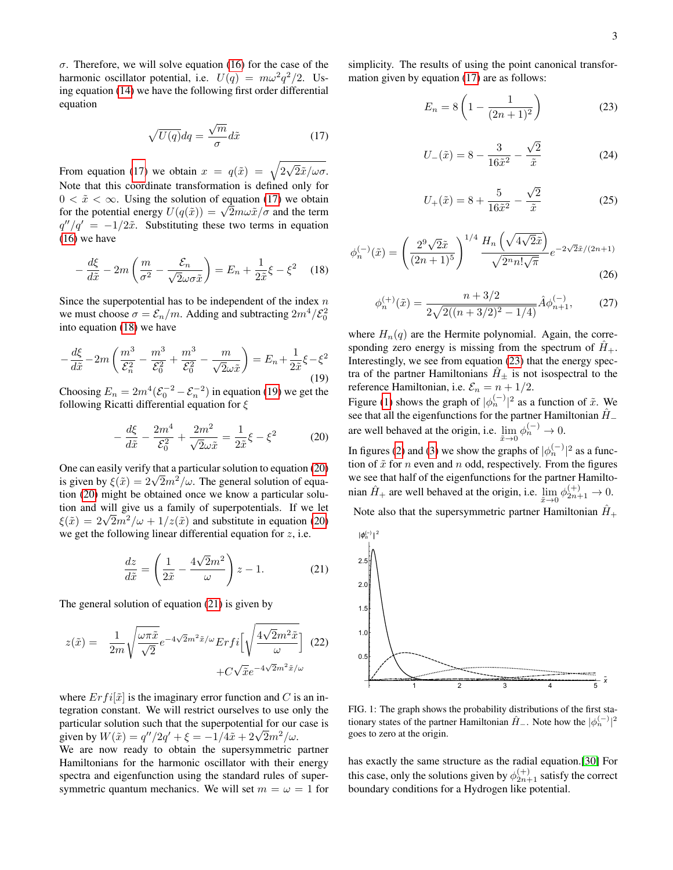σ. Therefore, we will solve equation [\(16\)](#page-1-6) for the case of the harmonic oscillator potential, i.e.  $U(q) = m\omega^2 q^2/2$ . Using equation [\(14\)](#page-1-4) we have the following first order differential equation

<span id="page-2-0"></span>
$$
\sqrt{U(q)}dq = \frac{\sqrt{m}}{\sigma}d\tilde{x}
$$
 (17)

From equation [\(17\)](#page-2-0) we obtain  $x = q(\tilde{x}) = \sqrt{2}$ √  $2\tilde{x}/\omega\sigma.$ Note that this coordinate transformation is defined only for  $0 < \tilde{x} < \infty$ . Using the solution of equation [\(17\)](#page-2-0) we obtain  $0 < x < \infty$ . Using the solution of equation (17) we obtain<br>for the potential energy  $U(q(\tilde{x})) = \sqrt{2}m\omega \tilde{x}/\sigma$  and the term  $q''/q' = -1/2\tilde{x}$ . Substituting these two terms in equation [\(16\)](#page-1-6) we have

<span id="page-2-1"></span>
$$
-\frac{d\xi}{d\tilde{x}} - 2m\left(\frac{m}{\sigma^2} - \frac{\mathcal{E}_n}{\sqrt{2\omega\sigma\tilde{x}}}\right) = E_n + \frac{1}{2\tilde{x}}\xi - \xi^2 \quad (18)
$$

Since the superpotential has to be independent of the index  $n$ we must choose  $\sigma = \mathcal{E}_n/m$ . Adding and subtracting  $2m^4/\mathcal{E}_0^2$ into equation [\(18\)](#page-2-1) we have

<span id="page-2-2"></span>
$$
-\frac{d\xi}{d\tilde{x}} - 2m\left(\frac{m^3}{\mathcal{E}_n^2} - \frac{m^3}{\mathcal{E}_0^2} + \frac{m^3}{\mathcal{E}_0^2} - \frac{m}{\sqrt{2}\omega\tilde{x}}\right) = E_n + \frac{1}{2\tilde{x}}\xi - \xi^2\tag{19}
$$

Choosing  $E_n = 2m^4(\mathcal{E}_0^{-2} - \mathcal{E}_n^{-2})$  in equation [\(19\)](#page-2-2) we get the following Ricatti differential equation for  $\xi$ 

<span id="page-2-3"></span>
$$
-\frac{d\xi}{d\tilde{x}} - \frac{2m^4}{\mathcal{E}_0^2} + \frac{2m^2}{\sqrt{2}\omega\tilde{x}} = \frac{1}{2\tilde{x}}\xi - \xi^2
$$
 (20)

One can easily verify that a particular solution to equation [\(20\)](#page-2-3) One can easily verify that a particular solution to equation (20)<br>is given by  $\xi(\tilde{x}) = 2\sqrt{2m^2/\omega}$ . The general solution of equation [\(20\)](#page-2-3) might be obtained once we know a particular solution and will give us a family of superpotentials. If we let tion and will give us a family of superpotentials. If we let  $\xi(\tilde{x}) = 2\sqrt{2m^2/\omega} + 1/z(\tilde{x})$  and substitute in equation [\(20\)](#page-2-3) we get the following linear differential equation for  $z$ , i.e.

<span id="page-2-4"></span>
$$
\frac{dz}{d\tilde{x}} = \left(\frac{1}{2\tilde{x}} - \frac{4\sqrt{2}m^2}{\omega}\right)z - 1.
$$
 (21)

The general solution of equation [\(21\)](#page-2-4) is given by

$$
z(\tilde{x}) = \frac{1}{2m} \sqrt{\frac{\omega \pi \tilde{x}}{\sqrt{2}}} e^{-4\sqrt{2}m^2 \tilde{x}/\omega} Erfi \left[ \sqrt{\frac{4\sqrt{2}m^2 \tilde{x}}{\omega}} \right] (22) + C\sqrt{\tilde{x}} e^{-4\sqrt{2}m^2 \tilde{x}/\omega}
$$

where  $Erfi[\tilde{x}]$  is the imaginary error function and C is an integration constant. We will restrict ourselves to use only the particular solution such that the superpotential for our case is particular solution such that the superpotential for our given by  $W(\tilde{x}) = q''/2q' + \xi = -1/4\tilde{x} + 2\sqrt{2}m^2/\omega$ .

We are now ready to obtain the supersymmetric partner Hamiltonians for the harmonic oscillator with their energy spectra and eigenfunction using the standard rules of supersymmetric quantum mechanics. We will set  $m = \omega = 1$  for

simplicity. The results of using the point canonical transformation given by equation [\(17\)](#page-2-0) are as follows:

<span id="page-2-5"></span>
$$
E_n = 8\left(1 - \frac{1}{(2n+1)^2}\right) \tag{23}
$$

<span id="page-2-7"></span>
$$
U_{-}(\tilde{x}) = 8 - \frac{3}{16\tilde{x}^2} - \frac{\sqrt{2}}{\tilde{x}}
$$
 (24)

<span id="page-2-8"></span>
$$
U_{+}(\tilde{x}) = 8 + \frac{5}{16\tilde{x}^{2}} - \frac{\sqrt{2}}{\tilde{x}}
$$
 (25)

$$
\phi_n^{(-)}(\tilde{x}) = \left(\frac{2^9\sqrt{2}\tilde{x}}{(2n+1)^5}\right)^{1/4} \frac{H_n\left(\sqrt{4\sqrt{2}\tilde{x}}\right)}{\sqrt{2^n n! \sqrt{\pi}}} e^{-2\sqrt{2}\tilde{x}/(2n+1)}
$$
(26)

$$
\phi_n^{(+)}(\tilde{x}) = \frac{n + 3/2}{2\sqrt{2((n + 3/2)^2 - 1/4)}} \hat{A} \phi_{n+1}^{(-)},\tag{27}
$$

where  $H_n(q)$  are the Hermite polynomial. Again, the corresponding zero energy is missing from the spectrum of  $H_+$ . Interestingly, we see from equation [\(23\)](#page-2-5) that the energy spectra of the partner Hamiltonians  $H_{\pm}$  is not isospectral to the reference Hamiltonian, i.e.  $\mathcal{E}_n = n + 1/2$ .

Figure [\(1\)](#page-2-6) shows the graph of  $|\phi_n^{(-)}|^2$  as a function of  $\tilde{x}$ . We see that all the eigenfunctions for the partner Hamiltonian  $\hat{H}$ <sub>−</sub> are well behaved at the origin, i.e.  $\lim_{\tilde{x}\to 0} \phi_n^{(-)} \to 0$ .

In figures [\(2\)](#page-3-0) and [\(3\)](#page-3-1) we show the graphs of  $|\phi_n^{(-)}|^2$  as a function of  $\tilde{x}$  for *n* even and *n* odd, respectively. From the figures we see that half of the eigenfunctions for the partner Hamiltonian  $\hat{H}_+$  are well behaved at the origin, i.e.  $\lim_{\tilde{x}\to 0} \phi_{2n+1}^{(+)} \to 0$ .

Note also that the supersymmetric partner Hamiltonian  $H_+$ 



<span id="page-2-6"></span>FIG. 1: The graph shows the probability distributions of the first stationary states of the partner Hamiltonian  $\hat{H}_-$ . Note how the  $|\phi_n^{(-)}|^2$ goes to zero at the origin.

has exactly the same structure as the radial equation.[\[30\]](#page-4-18) For this case, only the solutions given by  $\phi_{2n+1}^{(+)}$  satisfy the correct boundary conditions for a Hydrogen like potential.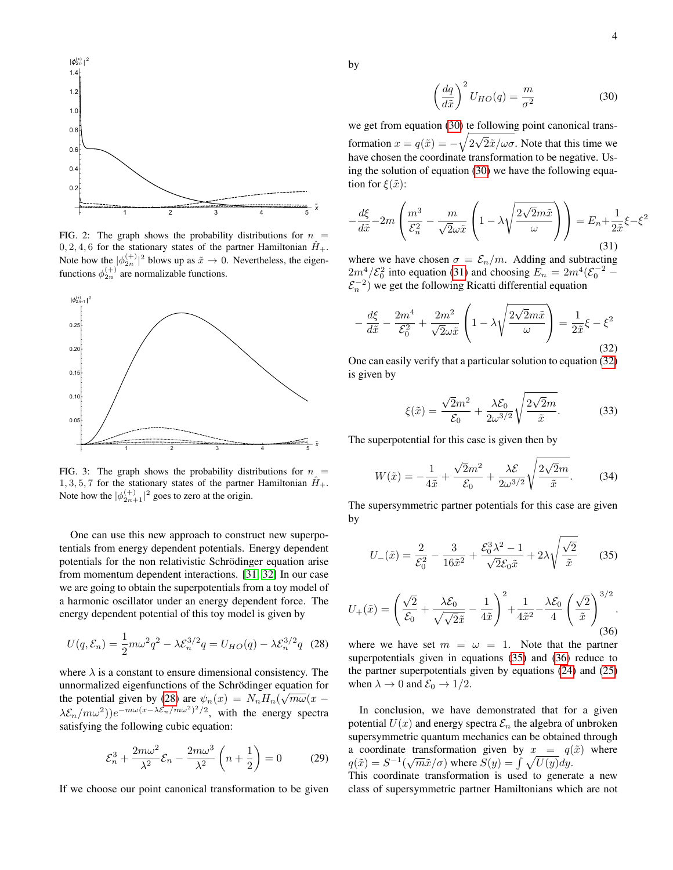

<span id="page-3-0"></span>FIG. 2: The graph shows the probability distributions for  $n =$  $0, 2, 4, 6$  for the stationary states of the partner Hamiltonian  $\hat{H}_+$ . Note how the  $|\phi_{2n}^{(+)}|^2$  blows up as  $\tilde{x} \to 0$ . Nevertheless, the eigenfunctions  $\phi_{2n}^{(+)}$  are normalizable functions.



<span id="page-3-1"></span>FIG. 3: The graph shows the probability distributions for  $n =$  $1, 3, 5, 7$  for the stationary states of the partner Hamiltonian  $H_+$ . Note how the  $|\phi_{2n+1}^{(+)}|^2$  goes to zero at the origin.

One can use this new approach to construct new superpotentials from energy dependent potentials. Energy dependent potentials for the non relativistic Schrödinger equation arise from momentum dependent interactions. [\[31,](#page-4-19) [32\]](#page-4-20) In our case we are going to obtain the superpotentials from a toy model of a harmonic oscillator under an energy dependent force. The energy dependent potential of this toy model is given by

<span id="page-3-2"></span>
$$
U(q, \mathcal{E}_n) = \frac{1}{2} m \omega^2 q^2 - \lambda \mathcal{E}_n^{3/2} q = U_{HO}(q) - \lambda \mathcal{E}_n^{3/2} q
$$
 (28)

where  $\lambda$  is a constant to ensure dimensional consistency. The unnormalized eigenfunctions of the Schrödinger equation for the potential given by [\(28\)](#page-3-2) are  $\psi_n(x) = N_n H_n(\sqrt{m\omega}(x (\lambda \mathcal{E}_n/m\omega^2)e^{-m\omega(x-\lambda \mathcal{E}_n/m\omega^2)^2/2}$ , with the energy spectra satisfying the following cubic equation:

$$
\mathcal{E}_n^3 + \frac{2m\omega^2}{\lambda^2} \mathcal{E}_n - \frac{2m\omega^3}{\lambda^2} \left( n + \frac{1}{2} \right) = 0 \tag{29}
$$

If we choose our point canonical transformation to be given

by

<span id="page-3-3"></span>
$$
\left(\frac{dq}{d\tilde{x}}\right)^2 U_{HO}(q) = \frac{m}{\sigma^2} \tag{30}
$$

we get from equation [\(30\)](#page-3-3) te following point canonical transformation  $x = q(\tilde{x}) = -\sqrt{2}$ √  $2\tilde{x}/\omega\sigma$ . Note that this time we have chosen the coordinate transformation to be negative. Using the solution of equation [\(30\)](#page-3-3) we have the following equation for  $\xi(\tilde{x})$ :

<span id="page-3-4"></span>
$$
-\frac{d\xi}{d\tilde{x}} - 2m\left(\frac{m^3}{\mathcal{E}_n^2} - \frac{m}{\sqrt{2\omega\tilde{x}}} \left(1 - \lambda \sqrt{\frac{2\sqrt{2}m\tilde{x}}{\omega}}\right)\right) = E_n + \frac{1}{2\tilde{x}}\xi - \xi^2
$$
\n(31)

where we have chosen  $\sigma = \mathcal{E}_n/m$ . Adding and subtracting  $2m^4/\mathcal{E}_0^2$  into equation [\(31\)](#page-3-4) and choosing  $E_n = 2m^4(\mathcal{E}_0^{-2} \mathcal{E}_n^{-2}$ ) we get the following Ricatti differential equation

<span id="page-3-5"></span>
$$
-\frac{d\xi}{d\tilde{x}} - \frac{2m^4}{\mathcal{E}_0^2} + \frac{2m^2}{\sqrt{2}\omega\tilde{x}} \left(1 - \lambda \sqrt{\frac{2\sqrt{2}m\tilde{x}}{\omega}}\right) = \frac{1}{2\tilde{x}}\xi - \xi^2
$$
\n(32)

One can easily verify that a particular solution to equation [\(32\)](#page-3-5) is given by

$$
\xi(\tilde{x}) = \frac{\sqrt{2}m^2}{\mathcal{E}_0} + \frac{\lambda \mathcal{E}_0}{2\omega^{3/2}} \sqrt{\frac{2\sqrt{2}m}{\tilde{x}}}.
$$
 (33)

The superpotential for this case is given then by

$$
W(\tilde{x}) = -\frac{1}{4\tilde{x}} + \frac{\sqrt{2}m^2}{\mathcal{E}_0} + \frac{\lambda \mathcal{E}}{2\omega^{3/2}} \sqrt{\frac{2\sqrt{2}m}{\tilde{x}}}.
$$
 (34)

The supersymmetric partner potentials for this case are given by

<span id="page-3-6"></span>
$$
U_{-}(\tilde{x}) = \frac{2}{\mathcal{E}_0^2} - \frac{3}{16\tilde{x}^2} + \frac{\mathcal{E}_0^3 \lambda^2 - 1}{\sqrt{2} \mathcal{E}_0 \tilde{x}} + 2\lambda \sqrt{\frac{\sqrt{2}}{\tilde{x}}} \tag{35}
$$

<span id="page-3-7"></span>
$$
U_{+}(\tilde{x}) = \left(\frac{\sqrt{2}}{\mathcal{E}_{0}} + \frac{\lambda \mathcal{E}_{0}}{\sqrt{\sqrt{2}\tilde{x}}} - \frac{1}{4\tilde{x}}\right)^{2} + \frac{1}{4\tilde{x}^{2}} - \frac{\lambda \mathcal{E}_{0}}{4} \left(\frac{\sqrt{2}}{\tilde{x}}\right)^{3/2}.
$$
\n(36)

where we have set  $m = \omega = 1$ . Note that the partner superpotentials given in equations [\(35\)](#page-3-6) and [\(36\)](#page-3-7) reduce to the partner superpotentials given by equations [\(24\)](#page-2-7) and [\(25\)](#page-2-8) when  $\lambda \to 0$  and  $\mathcal{E}_0 \to 1/2$ .

In conclusion, we have demonstrated that for a given potential  $U(x)$  and energy spectra  $\mathcal{E}_n$  the algebra of unbroken supersymmetric quantum mechanics can be obtained through a coordinate transformation given by  $x = q(\tilde{x})$  where a coordinate transformation given by  $x = q$ <br> $q(\tilde{x}) = S^{-1}(\sqrt{m}\tilde{x}/\sigma)$  where  $S(y) = \int \sqrt{U(y)}dy$ . This coordinate transformation is used to generate a new

class of supersymmetric partner Hamiltonians which are not